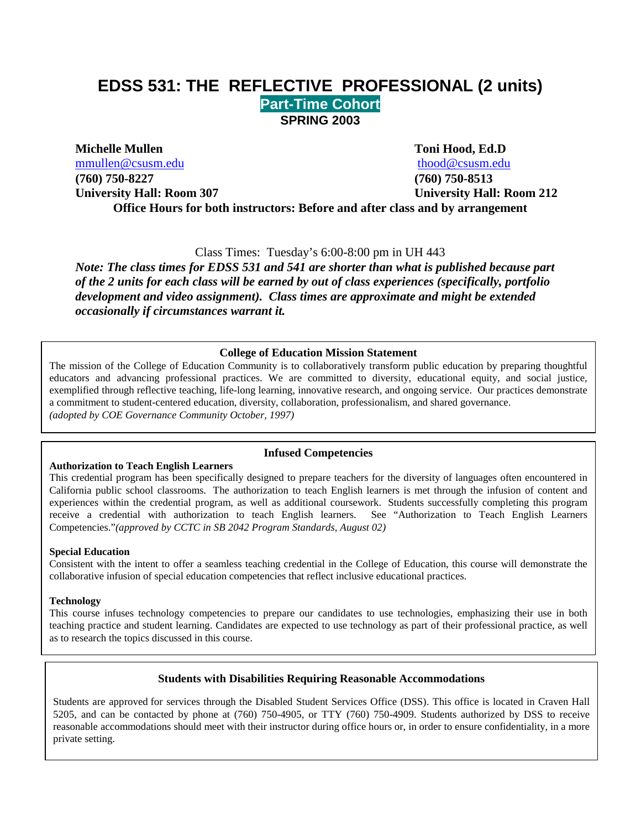# **EDSS 531: THE REFLECTIVE PROFESSIONAL (2 units) Part-Time Cohort SPRING 2003**

**Michelle Mullen Toni Hood, Ed.D**

[mmullen@csusm.edu](mailto:mmullen@mailhost1.csusm.edu) [thood@csusm.edu](mailto:thood@csusm.edu) **(760) 750-8227 (760) 750-8513**

**University Hall: Room 307 University Hall: Room 212 Office Hours for both instructors: Before and after class and by arrangement**

Class Times: Tuesday's 6:00-8:00 pm in UH 443

*Note: The class times for EDSS 531 and 541 are shorter than what is published because part of the 2 units for each class will be earned by out of class experiences (specifically, portfolio development and video assignment). Class times are approximate and might be extended occasionally if circumstances warrant it.* 

## **College of Education Mission Statement**

The mission of the College of Education Community is to collaboratively transform public education by preparing thoughtful educators and advancing professional practices. We are committed to diversity, educational equity, and social justice, exemplified through reflective teaching, life-long learning, innovative research, and ongoing service. Our practices demonstrate a commitment to student-centered education, diversity, collaboration, professionalism, and shared governance. *(adopted by COE Governance Community October, 1997)*

#### **Authorization to Teach English Learners**

#### **Infused Competencies**

This credential program has been specifically designed to prepare teachers for the diversity of languages often encountered in California public school classrooms. The authorization to teach English learners is met through the infusion of content and experiences within the credential program, as well as additional coursework. Students successfully completing this program receive a credential with authorization to teach English learners. See "Authorization to Teach English Learners Competencies."*(approved by CCTC in SB 2042 Program Standards, August 02)* 

#### **Special Education**

Consistent with the intent to offer a seamless teaching credential in the College of Education, this course will demonstrate the collaborative infusion of special education competencies that reflect inclusive educational practices.

#### **Technology**

This course infuses technology competencies to prepare our candidates to use technologies, emphasizing their use in both teaching practice and student learning. Candidates are expected to use technology as part of their professional practice, as well as to research the topics discussed in this course.

#### **Students with Disabilities Requiring Reasonable Accommodations**

Students are approved for services through the Disabled Student Services Office (DSS). This office is located in Craven Hall 5205, and can be contacted by phone at (760) 750-4905, or TTY (760) 750-4909. Students authorized by DSS to receive reasonable accommodations should meet with their instructor during office hours or, in order to ensure confidentiality, in a more private setting.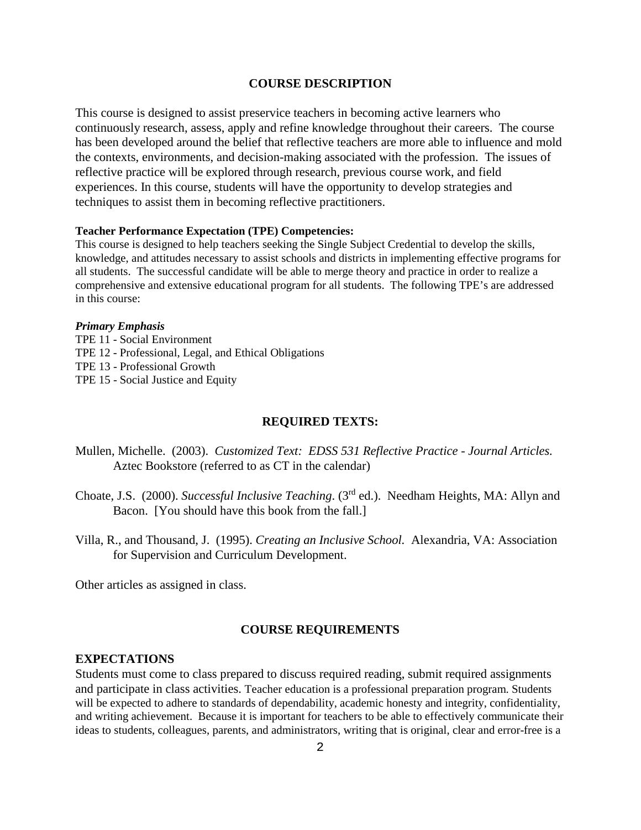#### **COURSE DESCRIPTION**

This course is designed to assist preservice teachers in becoming active learners who continuously research, assess, apply and refine knowledge throughout their careers. The course has been developed around the belief that reflective teachers are more able to influence and mold the contexts, environments, and decision-making associated with the profession. The issues of reflective practice will be explored through research, previous course work, and field experiences. In this course, students will have the opportunity to develop strategies and techniques to assist them in becoming reflective practitioners.

#### **Teacher Performance Expectation (TPE) Competencies:**

This course is designed to help teachers seeking the Single Subject Credential to develop the skills, knowledge, and attitudes necessary to assist schools and districts in implementing effective programs for all students. The successful candidate will be able to merge theory and practice in order to realize a comprehensive and extensive educational program for all students. The following TPE's are addressed in this course:

#### *Primary Emphasis*

TPE 11 - Social Environment TPE 12 - Professional, Legal, and Ethical Obligations TPE 13 - Professional Growth TPE 15 - Social Justice and Equity

#### **REQUIRED TEXTS:**

- Mullen, Michelle. (2003). *Customized Text: EDSS 531 Reflective Practice - Journal Articles.* Aztec Bookstore (referred to as CT in the calendar)
- Choate, J.S. (2000). *Successful Inclusive Teaching*. (3rd ed.). Needham Heights, MA: Allyn and Bacon. [You should have this book from the fall.]
- Villa, R., and Thousand, J. (1995). *Creating an Inclusive School.* Alexandria, VA: Association for Supervision and Curriculum Development.

Other articles as assigned in class.

#### **COURSE REQUIREMENTS**

#### **EXPECTATIONS**

Students must come to class prepared to discuss required reading, submit required assignments and participate in class activities. Teacher education is a professional preparation program. Students will be expected to adhere to standards of dependability, academic honesty and integrity, confidentiality, and writing achievement. Because it is important for teachers to be able to effectively communicate their ideas to students, colleagues, parents, and administrators, writing that is original, clear and error-free is a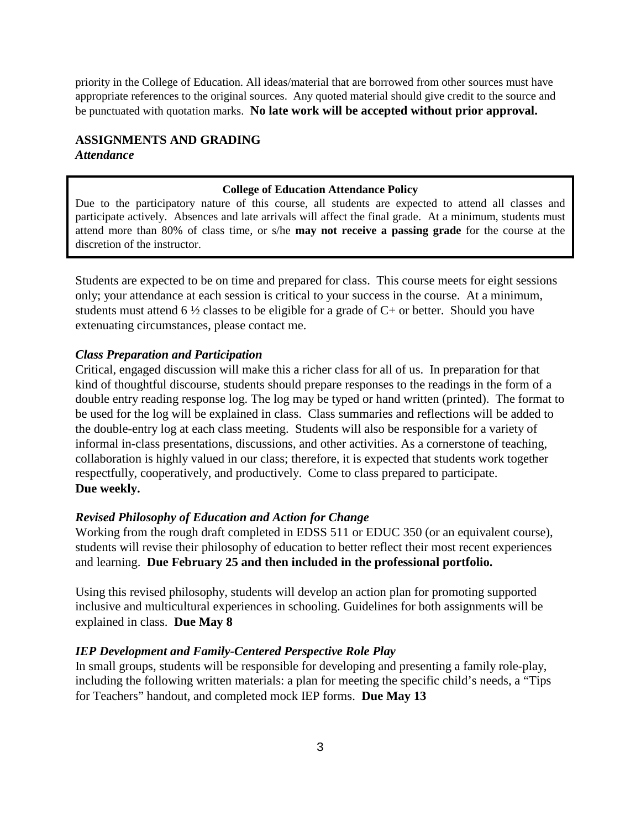priority in the College of Education. All ideas/material that are borrowed from other sources must have appropriate references to the original sources. Any quoted material should give credit to the source and be punctuated with quotation marks. **No late work will be accepted without prior approval.**

## **ASSIGNMENTS AND GRADING** *Attendance*

#### **College of Education Attendance Policy**

Due to the participatory nature of this course, all students are expected to attend all classes and participate actively. Absences and late arrivals will affect the final grade. At a minimum, students must attend more than 80% of class time, or s/he **may not receive a passing grade** for the course at the discretion of the instructor.

Students are expected to be on time and prepared for class. This course meets for eight sessions only; your attendance at each session is critical to your success in the course. At a minimum, students must attend 6  $\frac{1}{2}$  classes to be eligible for a grade of C+ or better. Should you have extenuating circumstances, please contact me.

#### *Class Preparation and Participation*

Critical, engaged discussion will make this a richer class for all of us. In preparation for that kind of thoughtful discourse, students should prepare responses to the readings in the form of a double entry reading response log. The log may be typed or hand written (printed). The format to be used for the log will be explained in class. Class summaries and reflections will be added to the double-entry log at each class meeting. Students will also be responsible for a variety of informal in-class presentations, discussions, and other activities. As a cornerstone of teaching, collaboration is highly valued in our class; therefore, it is expected that students work together respectfully, cooperatively, and productively. Come to class prepared to participate. **Due weekly.**

#### *Revised Philosophy of Education and Action for Change*

Working from the rough draft completed in EDSS 511 or EDUC 350 (or an equivalent course), students will revise their philosophy of education to better reflect their most recent experiences and learning. **Due February 25 and then included in the professional portfolio.**

Using this revised philosophy, students will develop an action plan for promoting supported inclusive and multicultural experiences in schooling. Guidelines for both assignments will be explained in class. **Due May 8**

#### *IEP Development and Family-Centered Perspective Role Play*

In small groups, students will be responsible for developing and presenting a family role-play, including the following written materials: a plan for meeting the specific child's needs, a "Tips for Teachers" handout, and completed mock IEP forms. **Due May 13**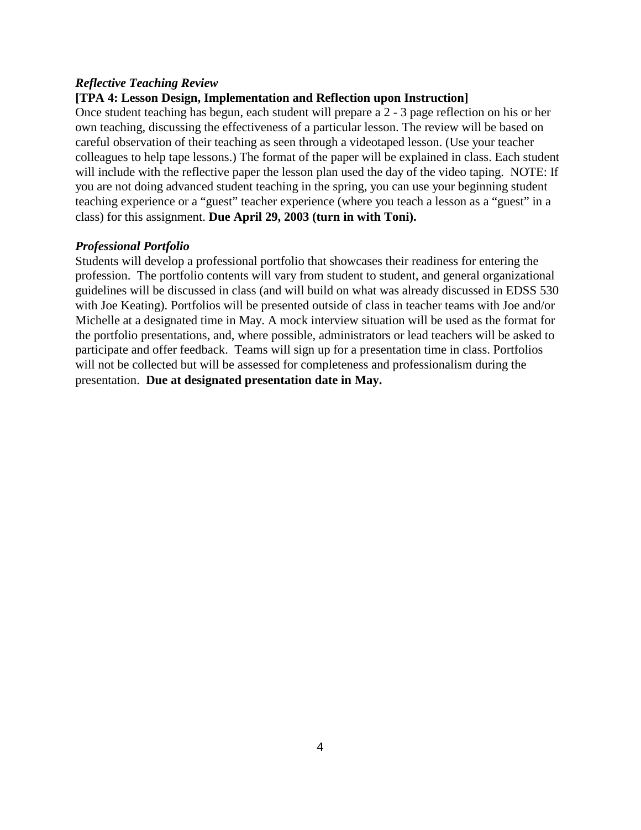### *Reflective Teaching Review*

## **[TPA 4: Lesson Design, Implementation and Reflection upon Instruction]**

Once student teaching has begun, each student will prepare a 2 - 3 page reflection on his or her own teaching, discussing the effectiveness of a particular lesson. The review will be based on careful observation of their teaching as seen through a videotaped lesson. (Use your teacher colleagues to help tape lessons.) The format of the paper will be explained in class. Each student will include with the reflective paper the lesson plan used the day of the video taping. NOTE: If you are not doing advanced student teaching in the spring, you can use your beginning student teaching experience or a "guest" teacher experience (where you teach a lesson as a "guest" in a class) for this assignment. **Due April 29, 2003 (turn in with Toni).**

#### *Professional Portfolio*

Students will develop a professional portfolio that showcases their readiness for entering the profession. The portfolio contents will vary from student to student, and general organizational guidelines will be discussed in class (and will build on what was already discussed in EDSS 530 with Joe Keating). Portfolios will be presented outside of class in teacher teams with Joe and/or Michelle at a designated time in May. A mock interview situation will be used as the format for the portfolio presentations, and, where possible, administrators or lead teachers will be asked to participate and offer feedback. Teams will sign up for a presentation time in class. Portfolios will not be collected but will be assessed for completeness and professionalism during the presentation. **Due at designated presentation date in May.**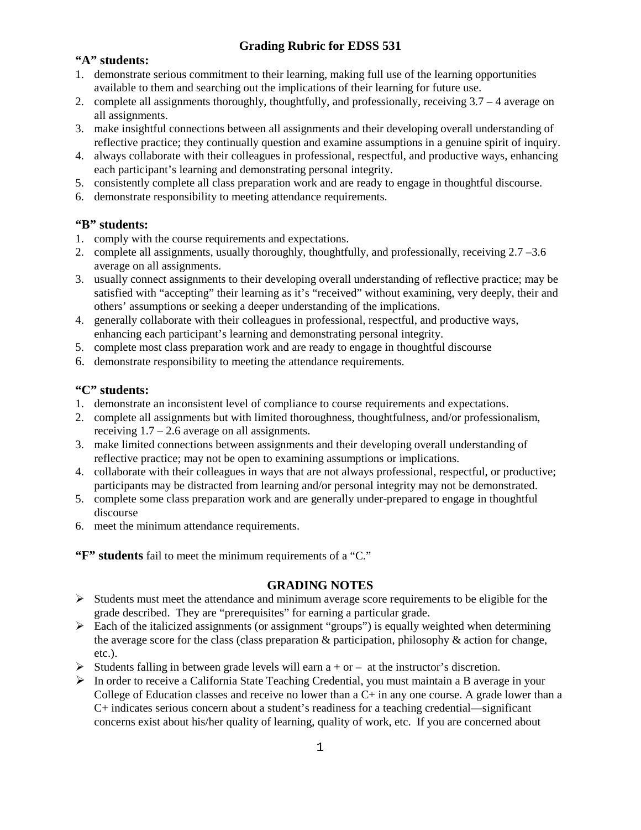## **Grading Rubric for EDSS 531**

## **"A" students:**

- 1. demonstrate serious commitment to their learning, making full use of the learning opportunities available to them and searching out the implications of their learning for future use.
- 2. complete all assignments thoroughly, thoughtfully, and professionally, receiving 3.7 4 average on all assignments.
- 3. make insightful connections between all assignments and their developing overall understanding of reflective practice; they continually question and examine assumptions in a genuine spirit of inquiry.
- 4. always collaborate with their colleagues in professional, respectful, and productive ways, enhancing each participant's learning and demonstrating personal integrity.
- 5. consistently complete all class preparation work and are ready to engage in thoughtful discourse.
- 6. demonstrate responsibility to meeting attendance requirements.

## **"B" students:**

- 1. comply with the course requirements and expectations.
- 2. complete all assignments, usually thoroughly, thoughtfully, and professionally, receiving 2.7 –3.6 average on all assignments.
- 3. usually connect assignments to their developing overall understanding of reflective practice; may be satisfied with "accepting" their learning as it's "received" without examining, very deeply, their and others' assumptions or seeking a deeper understanding of the implications.
- 4. generally collaborate with their colleagues in professional, respectful, and productive ways, enhancing each participant's learning and demonstrating personal integrity.
- 5. complete most class preparation work and are ready to engage in thoughtful discourse
- 6. demonstrate responsibility to meeting the attendance requirements.

## **"C" students:**

- 1. demonstrate an inconsistent level of compliance to course requirements and expectations.
- 2. complete all assignments but with limited thoroughness, thoughtfulness, and/or professionalism, receiving  $1.7 - 2.6$  average on all assignments.
- 3. make limited connections between assignments and their developing overall understanding of reflective practice; may not be open to examining assumptions or implications.
- 4. collaborate with their colleagues in ways that are not always professional, respectful, or productive; participants may be distracted from learning and/or personal integrity may not be demonstrated.
- 5. complete some class preparation work and are generally under-prepared to engage in thoughtful discourse
- 6. meet the minimum attendance requirements.

**"F" students** fail to meet the minimum requirements of a "C."

#### **GRADING NOTES**

- $\triangleright$  Students must meet the attendance and minimum average score requirements to be eligible for the grade described. They are "prerequisites" for earning a particular grade.
- $\triangleright$  Each of the italicized assignments (or assignment "groups") is equally weighted when determining the average score for the class (class preparation & participation, philosophy & action for change, etc.).
- Students falling in between grade levels will earn  $a + or at$  the instructor's discretion.
- In order to receive a California State Teaching Credential, you must maintain a B average in your College of Education classes and receive no lower than a C+ in any one course. A grade lower than a C+ indicates serious concern about a student's readiness for a teaching credential—significant concerns exist about his/her quality of learning, quality of work, etc. If you are concerned about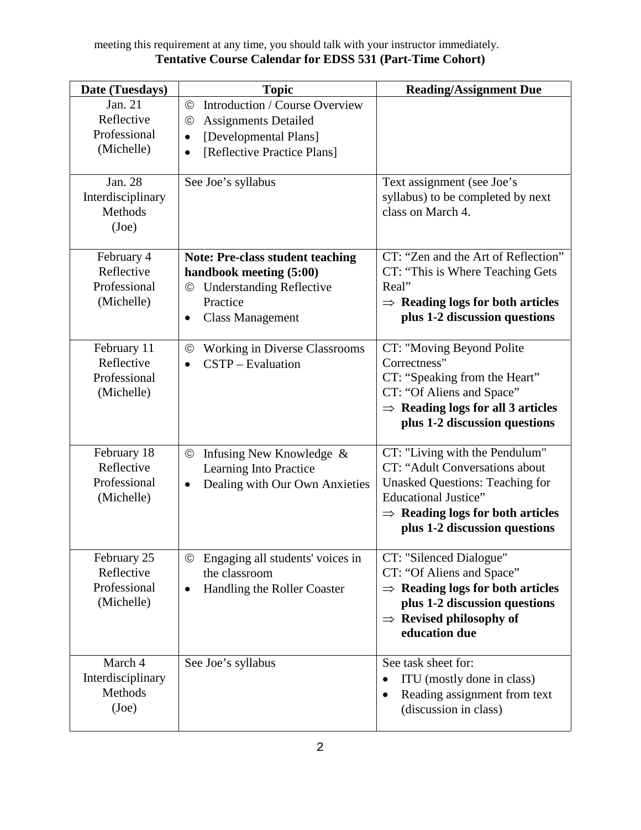## meeting this requirement at any time, you should talk with your instructor immediately. **Tentative Course Calendar for EDSS 531 (Part-Time Cohort)**

| Date (Tuesdays)                                         | <b>Topic</b>                                                                                                                                                          | <b>Reading/Assignment Due</b>                                                                                                                                                                                              |
|---------------------------------------------------------|-----------------------------------------------------------------------------------------------------------------------------------------------------------------------|----------------------------------------------------------------------------------------------------------------------------------------------------------------------------------------------------------------------------|
| Jan. 21<br>Reflective<br>Professional<br>(Michelle)     | Introduction / Course Overview<br>$\odot$<br><b>Assignments Detailed</b><br>$\odot$<br>[Developmental Plans]<br>$\bullet$<br>[Reflective Practice Plans]<br>$\bullet$ |                                                                                                                                                                                                                            |
| Jan. 28<br>Interdisciplinary<br><b>Methods</b><br>(Joe) | See Joe's syllabus                                                                                                                                                    | Text assignment (see Joe's<br>syllabus) to be completed by next<br>class on March 4.                                                                                                                                       |
| February 4<br>Reflective<br>Professional<br>(Michelle)  | <b>Note: Pre-class student teaching</b><br>handbook meeting (5:00)<br><b>Understanding Reflective</b><br>©<br>Practice<br><b>Class Management</b><br>$\bullet$        | CT: "Zen and the Art of Reflection"<br>CT: "This is Where Teaching Gets<br>Real"<br>$\Rightarrow$ Reading logs for both articles<br>plus 1-2 discussion questions                                                          |
| February 11<br>Reflective<br>Professional<br>(Michelle) | <b>Working in Diverse Classrooms</b><br>$_{\odot}$<br>CSTP - Evaluation<br>$\bullet$                                                                                  | CT: "Moving Beyond Polite<br>Correctness"<br>CT: "Speaking from the Heart"<br>CT: "Of Aliens and Space"<br>$\Rightarrow$ Reading logs for all 3 articles<br>plus 1-2 discussion questions                                  |
| February 18<br>Reflective<br>Professional<br>(Michelle) | Infusing New Knowledge &<br>$^{\circledR}$<br>Learning Into Practice<br>Dealing with Our Own Anxieties<br>$\bullet$                                                   | CT: "Living with the Pendulum"<br>CT: "Adult Conversations about<br><b>Unasked Questions: Teaching for</b><br><b>Educational Justice"</b><br>$\Rightarrow$ Reading logs for both articles<br>plus 1-2 discussion questions |
| February 25<br>Reflective<br>Professional<br>(Michelle) | Engaging all students' voices in<br>©<br>the classroom<br>Handling the Roller Coaster                                                                                 | CT: "Silenced Dialogue"<br>CT: "Of Aliens and Space"<br>$\Rightarrow$ Reading logs for both articles<br>plus 1-2 discussion questions<br>$\Rightarrow$ Revised philosophy of<br>education due                              |
| March 4<br>Interdisciplinary<br>Methods<br>(Joe)        | See Joe's syllabus                                                                                                                                                    | See task sheet for:<br>ITU (mostly done in class)<br>$\bullet$<br>Reading assignment from text<br>٠<br>(discussion in class)                                                                                               |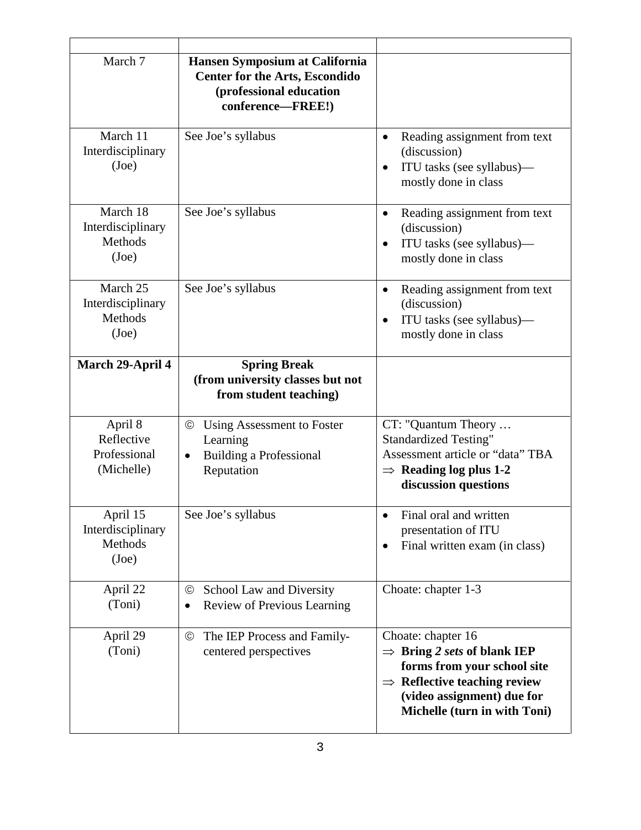| March 7                                                  | Hansen Symposium at California<br><b>Center for the Arts, Escondido</b><br>(professional education<br>conference-FREE!) |                                                                                                                                                                                                        |
|----------------------------------------------------------|-------------------------------------------------------------------------------------------------------------------------|--------------------------------------------------------------------------------------------------------------------------------------------------------------------------------------------------------|
| March 11<br>Interdisciplinary<br>(Joe)                   | See Joe's syllabus                                                                                                      | Reading assignment from text<br>$\bullet$<br>(discussion)<br>ITU tasks (see syllabus)—<br>mostly done in class                                                                                         |
| March 18<br>Interdisciplinary<br>Methods<br>(Joe)        | See Joe's syllabus                                                                                                      | Reading assignment from text<br>$\bullet$<br>(discussion)<br>ITU tasks (see syllabus)—<br>mostly done in class                                                                                         |
| March 25<br>Interdisciplinary<br><b>Methods</b><br>(Joe) | See Joe's syllabus                                                                                                      | Reading assignment from text<br>$\bullet$<br>(discussion)<br>ITU tasks (see syllabus)—<br>mostly done in class                                                                                         |
| March 29-April 4                                         | <b>Spring Break</b><br>(from university classes but not<br>from student teaching)                                       |                                                                                                                                                                                                        |
| April 8<br>Reflective<br>Professional<br>(Michelle)      | Using Assessment to Foster<br>$^{\circledR}$<br>Learning<br>Building a Professional<br>$\bullet$<br>Reputation          | CT: "Quantum Theory<br><b>Standardized Testing"</b><br>Assessment article or "data" TBA<br>$\Rightarrow$ Reading log plus 1-2<br>discussion questions                                                  |
| April 15<br>Interdisciplinary<br>Methods<br>(Joe)        | See Joe's syllabus                                                                                                      | Final oral and written<br>presentation of ITU<br>Final written exam (in class)                                                                                                                         |
| April 22<br>(Toni)                                       | School Law and Diversity<br>$^{\circledcirc}$<br>Review of Previous Learning<br>$\bullet$                               | Choate: chapter 1-3                                                                                                                                                                                    |
| April 29<br>(Toni)                                       | The IEP Process and Family-<br>$_{\odot}$<br>centered perspectives                                                      | Choate: chapter 16<br>$\Rightarrow$ Bring 2 sets of blank IEP<br>forms from your school site<br>$\Rightarrow$ Reflective teaching review<br>(video assignment) due for<br>Michelle (turn in with Toni) |